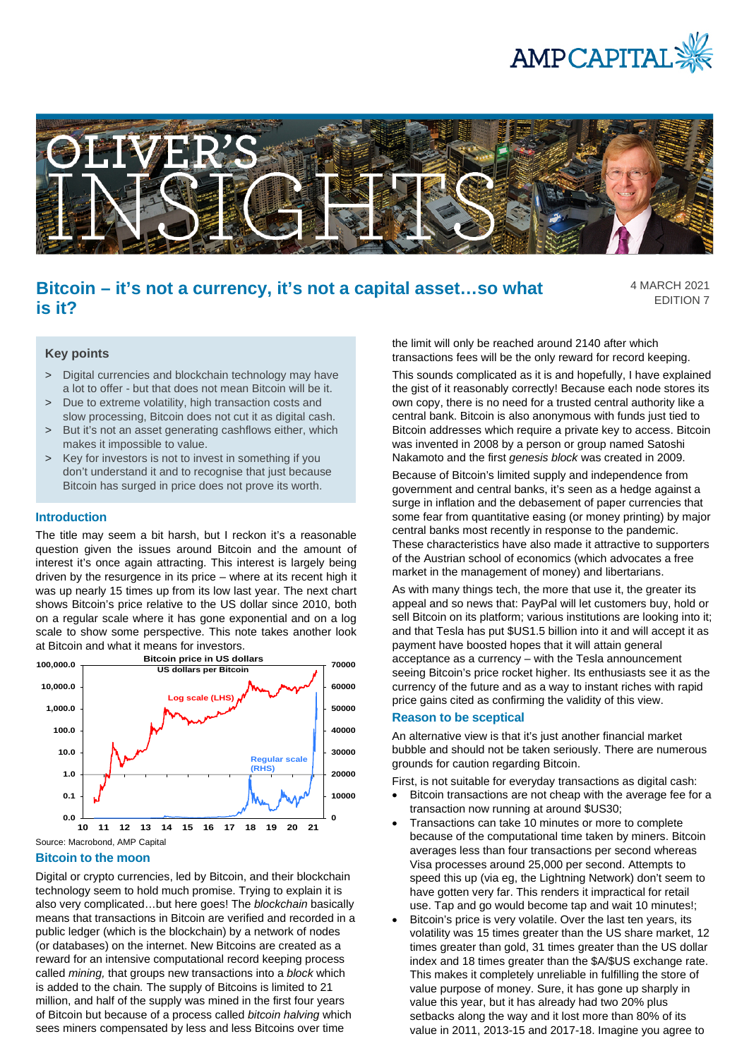



# **Bitcoin – it's not a currency, it's not a capital asset…so what is it?**

4 MARCH 2021 EDITION 7

# **Key points**

- > Digital currencies and blockchain technology may have a lot to offer - but that does not mean Bitcoin will be it.
- > Due to extreme volatility, high transaction costs and slow processing, Bitcoin does not cut it as digital cash.
- > But it's not an asset generating cashflows either, which makes it impossible to value.
- > Key for investors is not to invest in something if you don't understand it and to recognise that just because Bitcoin has surged in price does not prove its worth.

### **Introduction**

The title may seem a bit harsh, but I reckon it's a reasonable question given the issues around Bitcoin and the amount of interest it's once again attracting. This interest is largely being driven by the resurgence in its price – where at its recent high it was up nearly 15 times up from its low last year. The next chart shows Bitcoin's price relative to the US dollar since 2010, both on a regular scale where it has gone exponential and on a log scale to show some perspective. This note takes another look at Bitcoin and what it means for investors.



### **Bitcoin to the moon**

Digital or crypto currencies, led by Bitcoin, and their blockchain technology seem to hold much promise. Trying to explain it is also very complicated…but here goes! The *blockchain* basically means that transactions in Bitcoin are verified and recorded in a public ledger (which is the blockchain) by a network of nodes (or databases) on the internet. New Bitcoins are created as a reward for an intensive computational record keeping process called *mining,* that groups new transactions into a *block* which is added to the chain*.* The supply of Bitcoins is limited to 21 million, and half of the supply was mined in the first four years of Bitcoin but because of a process called *bitcoin halving* which sees miners compensated by less and less Bitcoins over time

the limit will only be reached around 2140 after which transactions fees will be the only reward for record keeping.

This sounds complicated as it is and hopefully, I have explained the gist of it reasonably correctly! Because each node stores its own copy, there is no need for a trusted central authority like a central bank. Bitcoin is also anonymous with funds just tied to Bitcoin addresses which require a private key to access. Bitcoin was invented in 2008 by a person or group named Satoshi Nakamoto and the first *genesis block* was created in 2009.

Because of Bitcoin's limited supply and independence from government and central banks, it's seen as a hedge against a surge in inflation and the debasement of paper currencies that some fear from quantitative easing (or money printing) by major central banks most recently in response to the pandemic. These characteristics have also made it attractive to supporters of the Austrian school of economics (which advocates a free market in the management of money) and libertarians.

As with many things tech, the more that use it, the greater its appeal and so news that: PayPal will let customers buy, hold or sell Bitcoin on its platform; various institutions are looking into it; and that Tesla has put \$US1.5 billion into it and will accept it as payment have boosted hopes that it will attain general acceptance as a currency – with the Tesla announcement seeing Bitcoin's price rocket higher. Its enthusiasts see it as the currency of the future and as a way to instant riches with rapid price gains cited as confirming the validity of this view.

#### **Reason to be sceptical**

An alternative view is that it's just another financial market bubble and should not be taken seriously. There are numerous grounds for caution regarding Bitcoin.

First, is not suitable for everyday transactions as digital cash:

- Bitcoin transactions are not cheap with the average fee for a transaction now running at around \$US30;
- Transactions can take 10 minutes or more to complete because of the computational time taken by miners. Bitcoin averages less than four transactions per second whereas Visa processes around 25,000 per second. Attempts to speed this up (via eg, the Lightning Network) don't seem to have gotten very far. This renders it impractical for retail use. Tap and go would become tap and wait 10 minutes!;
- Bitcoin's price is very volatile. Over the last ten years, its volatility was 15 times greater than the US share market, 12 times greater than gold, 31 times greater than the US dollar index and 18 times greater than the \$A/\$US exchange rate. This makes it completely unreliable in fulfilling the store of value purpose of money. Sure, it has gone up sharply in value this year, but it has already had two 20% plus setbacks along the way and it lost more than 80% of its value in 2011, 2013-15 and 2017-18. Imagine you agree to